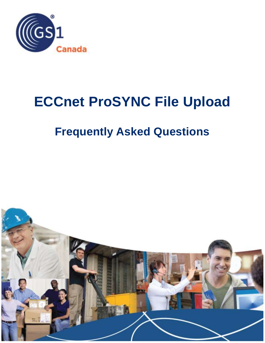

# **ECCnet ProSYNC File Upload**

# **Frequently Asked Questions**

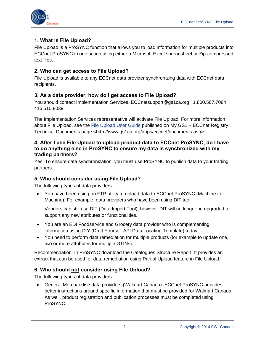

# **1. What is File Upload?**

File Upload is a ProSYNC function that allows you to load information for multiple products into ECCnet ProSYNC in one action using either a Microsoft Excel spreadsheet or Zip-compressed text files.

#### **2. Who can get access to File Upload?**

File Upload is available to any ECCnet data provider synchronizing data with ECCnet data recipients.

#### **3. As a data provider, how do I get access to File Upload?**

You should contact Implementation Services. ECCnetsupport@gs1ca.org | 1.800.567.7084 | 416.510.8039

The Implementation Services representative will activate File Upload. For more information about File Upload, see the [File Upload User Guide](http://www.gs1ca.org/apps/eccnet/documents.asp) published on My GS1 - ECCnet Registry Technical Documents page <http://www.gs1ca.org/apps/eccnet/documents.asp>.

#### **4. After I use File Upload to upload product data to ECCnet ProSYNC, do I have to do anything else in ProSYNC to ensure my data is synchronized with my trading partners?**

Yes. To ensure data synchronization, you must use ProSYNC to publish data to your trading partners.

#### **5. Who should consider using File Upload?**

The following types of data providers:

 You have been using an FTP utility to upload data to ECCnet ProSYNC (Machine to Machine). For example, data providers who have been using DIT tool.

Vendors can still use DIT (Data Import Tool); however DIT will no longer be upgraded to support any new attributes or functionalities.

- You are an EDI Foodservice and Grocery data provider who is complementing information using DIY (Do It Yourself API Data Locating Template) today.
- You need to perform data remediation for multiple products (for example to update one, two or more attributes for multiple GTINs).

Recommendation: In ProSYNC download the Catalogues Structure Report. It provides an extract that can be used for data remediation using Partial Upload feature in File Upload.

# **6. Who should not consider using File Upload?**

The following types of data providers:

 General Merchandise data providers (Walmart Canada). ECCnet ProSYNC provides better instructions around specific information that must be provided for Walmart Canada. As well, product registration and publication processes must be completed using ProSYNC.